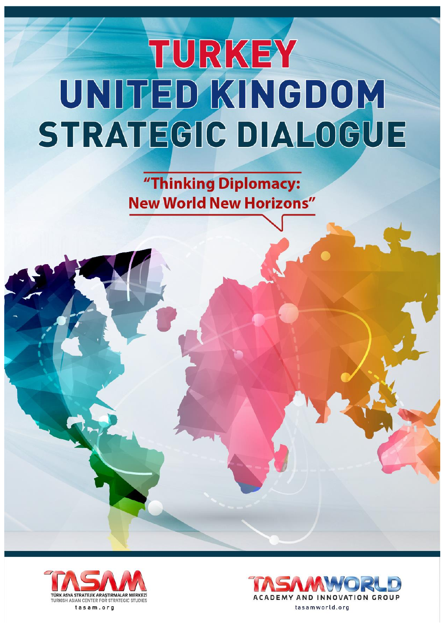"Thinking Diplomacy: **New World New Horizons"** 



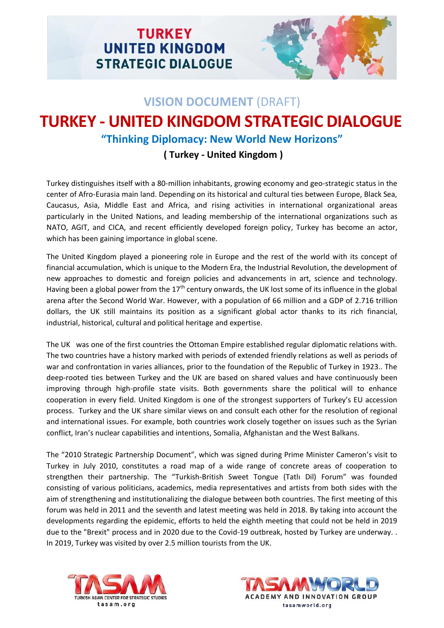

## **VISION DOCUMENT** (DRAFT)

# **TURKEY - UNITED KINGDOM STRATEGIC DIALOGUE**

## **"Thinking Diplomacy: New World New Horizons"**

## **( Turkey - United Kingdom )**

Turkey distinguishes itself with a 80-million inhabitants, growing economy and geo-strategic status in the center of Afro-Eurasia main land. Depending on its historical and cultural ties between Europe, Black Sea, Caucasus, Asia, Middle East and Africa, and rising activities in international organizational areas particularly in the United Nations, and leading membership of the international organizations such as NATO, AGIT, and CICA, and recent efficiently developed foreign policy, Turkey has become an actor, which has been gaining importance in global scene.

The United Kingdom played a pioneering role in Europe and the rest of the world with its concept of financial accumulation, which is unique to the Modern Era, the Industrial Revolution, the development of new approaches to domestic and foreign policies and advancements in art, science and technology. Having been a global power from the  $17<sup>th</sup>$  century onwards, the UK lost some of its influence in the global arena after the Second World War. However, with a population of 66 million and a GDP of 2.716 trillion dollars, the UK still maintains its position as a significant global actor thanks to its rich financial, industrial, historical, cultural and political heritage and expertise.

The UK was one of the first countries the Ottoman Empire established regular diplomatic relations with. The two countries have a history marked with periods of extended friendly relations as well as periods of war and confrontation in varies alliances, prior to the foundation of the Republic of Turkey in 1923.. The deep-rooted ties between Turkey and the UK are based on shared values and have continuously been improving through high-profile state visits. Both governments share the political will to enhance cooperation in every field. United Kingdom is one of the strongest supporters of Turkey's EU accession process. Turkey and the UK share similar views on and consult each other for the resolution of regional and international issues. For example, both countries work closely together on issues such as the Syrian conflict, Iran's nuclear capabilities and intentions, Somalia, Afghanistan and the West Balkans.

The "2010 Strategic Partnership Document", which was signed during Prime Minister Cameron's visit to Turkey in July 2010, constitutes a road map of a wide range of concrete areas of cooperation to strengthen their partnership. The "Turkish-British Sweet Tongue (Tatlı Dil) Forum" was founded consisting of various politicians, academics, media representatives and artists from both sides with the aim of strengthening and institutionalizing the dialogue between both countries. The first meeting of this forum was held in 2011 and the seventh and latest meeting was held in 2018. By taking into account the developments regarding the epidemic, efforts to held the eighth meeting that could not be held in 2019 due to the "Brexit" process and in 2020 due to the Covid-19 outbreak, hosted by Turkey are underway. . In 2019, Turkey was visited by over 2.5 million tourists from the UK.



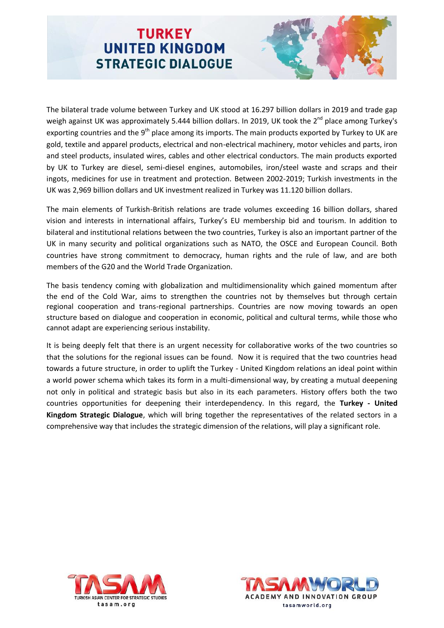

The bilateral trade volume between Turkey and UK stood at 16.297 billion dollars in 2019 and trade gap weigh against UK was approximately 5.444 billion dollars. In 2019, UK took the 2<sup>nd</sup> place among Turkey's exporting countries and the 9<sup>th</sup> place among its imports. The main products exported by Turkey to UK are gold, textile and apparel products, electrical and non-electrical machinery, motor vehicles and parts, iron and steel products, insulated wires, cables and other electrical conductors. The main products exported by UK to Turkey are diesel, semi-diesel engines, automobiles, iron/steel waste and scraps and their ingots, medicines for use in treatment and protection. Between 2002-2019; Turkish investments in the UK was 2,969 billion dollars and UK investment realized in Turkey was 11.120 billion dollars.

The main elements of Turkish-British relations are trade volumes exceeding 16 billion dollars, shared vision and interests in international affairs, Turkey's EU membership bid and tourism. In addition to bilateral and institutional relations between the two countries, Turkey is also an important partner of the UK in many security and political organizations such as NATO, the OSCE and European Council. Both countries have strong commitment to democracy, human rights and the rule of law, and are both members of the G20 and the World Trade Organization.

The basis tendency coming with globalization and multidimensionality which gained momentum after the end of the Cold War, aims to strengthen the countries not by themselves but through certain regional cooperation and trans-regional partnerships. Countries are now moving towards an open structure based on dialogue and cooperation in economic, political and cultural terms, while those who cannot adapt are experiencing serious instability.

It is being deeply felt that there is an urgent necessity for collaborative works of the two countries so that the solutions for the regional issues can be found. Now it is required that the two countries head towards a future structure, in order to uplift the Turkey - United Kingdom relations an ideal point within a world power schema which takes its form in a multi-dimensional way, by creating a mutual deepening not only in political and strategic basis but also in its each parameters. History offers both the two countries opportunities for deepening their interdependency. In this regard, the **Turkey - United Kingdom Strategic Dialogue**, which will bring together the representatives of the related sectors in a comprehensive way that includes the strategic dimension of the relations, will play a significant role.



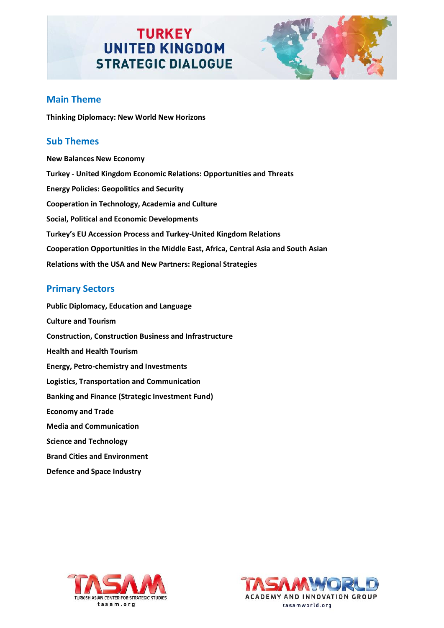

## **Main Theme**

**Thinking Diplomacy: New World New Horizons**

#### **Sub Themes**

**New Balances New Economy Turkey - United Kingdom Economic Relations: Opportunities and Threats Energy Policies: Geopolitics and Security Cooperation in Technology, Academia and Culture Social, Political and Economic Developments Turkey's EU Accession Process and Turkey-United Kingdom Relations Cooperation Opportunities in the Middle East, Africa, Central Asia and South Asian Relations with the USA and New Partners: Regional Strategies**

## **Primary Sectors**

**Public Diplomacy, Education and Language Culture and Tourism Construction, Construction Business and Infrastructure Health and Health Tourism Energy, Petro-chemistry and Investments Logistics, Transportation and Communication Banking and Finance (Strategic Investment Fund) Economy and Trade Media and Communication Science and Technology Brand Cities and Environment Defence and Space Industry**